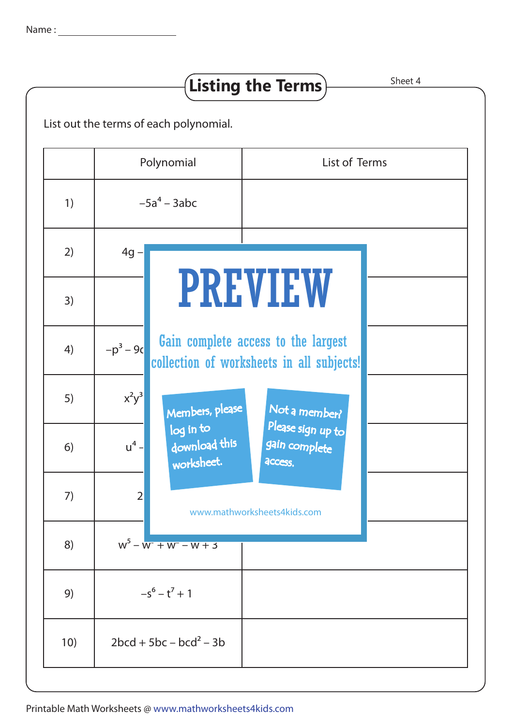## $-5a^4 - 3abc$  $4g -$ 1 – m2  $-p^3 - 9c$  $x^2y^3$ u<sup>4</sup> – download this  $2 \frac{1}{3}$  $W<sup>5</sup> - W<sup>2</sup> + W<sup>2</sup> - W + 3$  $-5^6 - 1^7 + 1$  $2bcd + 5bc - bcd^2 - 3b$ 1) 2) 3) 4) 5) 6) 7) 8) 9) 10) List out the terms of each polynomial. **Listing the Terms**) Sheet 4 Polynomial | List of Terms PREVIEW www.mathworksheets4kids.com Members, please worksheet. log in to Not a member? gain complete Please sign up to **access** Gain complete access to the largest collection of worksheets in all subjects!